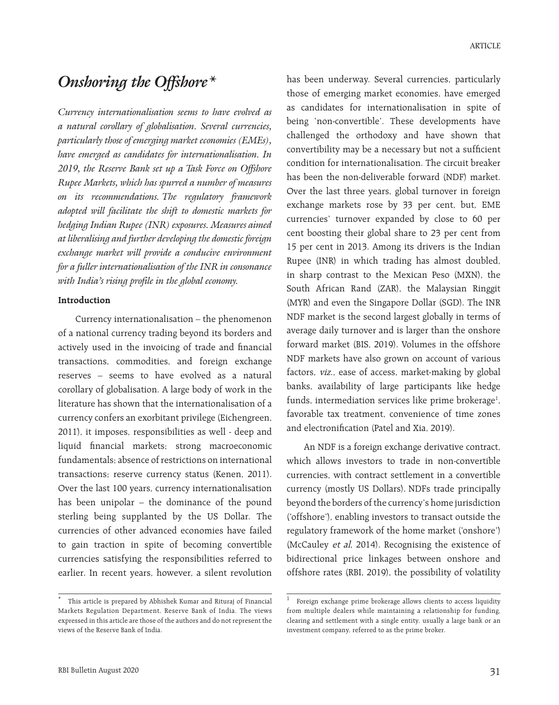# *Onshoring the Offshore\**

*Currency internationalisation seems to have evolved as a natural corollary of globalisation. Several currencies, particularly those of emerging market economies (EMEs), have emerged as candidates for internationalisation. In 2019, the Reserve Bank set up a Task Force on Offshore Rupee Markets, which has spurred a number of measures on its recommendations. The regulatory framework adopted will facilitate the shift to domestic markets for hedging Indian Rupee (INR) exposures. Measures aimed at liberalising and further developing the domestic foreign exchange market will provide a conducive environment for a fuller internationalisation of the INR in consonance with India's rising profile in the global economy.*

### **Introduction**

Currency internationalisation – the phenomenon of a national currency trading beyond its borders and actively used in the invoicing of trade and financial transactions, commodities, and foreign exchange reserves – seems to have evolved as a natural corollary of globalisation. A large body of work in the literature has shown that the internationalisation of a currency confers an exorbitant privilege (Eichengreen, 2011), it imposes, responsibilities as well - deep and liquid financial markets; strong macroeconomic fundamentals; absence of restrictions on international transactions; reserve currency status (Kenen, 2011). Over the last 100 years, currency internationalisation has been unipolar – the dominance of the pound sterling being supplanted by the US Dollar. The currencies of other advanced economies have failed to gain traction in spite of becoming convertible currencies satisfying the responsibilities referred to earlier. In recent years, however, a silent revolution

has been underway. Several currencies, particularly those of emerging market economies, have emerged as candidates for internationalisation in spite of being 'non-convertible'. These developments have challenged the orthodoxy and have shown that convertibility may be a necessary but not a sufficient condition for internationalisation. The circuit breaker has been the non-deliverable forward (NDF) market. Over the last three years, global turnover in foreign exchange markets rose by 33 per cent, but, EME currencies' turnover expanded by close to 60 per cent boosting their global share to 23 per cent from 15 per cent in 2013. Among its drivers is the Indian Rupee (INR) in which trading has almost doubled, in sharp contrast to the Mexican Peso (MXN), the South African Rand (ZAR), the Malaysian Ringgit (MYR) and even the Singapore Dollar (SGD). The INR NDF market is the second largest globally in terms of average daily turnover and is larger than the onshore forward market (BIS, 2019). Volumes in the offshore NDF markets have also grown on account of various factors, viz., ease of access, market-making by global banks, availability of large participants like hedge funds, intermediation services like prime brokerage<sup>1</sup>, favorable tax treatment, convenience of time zones and electronification (Patel and Xia, 2019).

An NDF is a foreign exchange derivative contract, which allows investors to trade in non-convertible currencies, with contract settlement in a convertible currency (mostly US Dollars). NDFs trade principally beyond the borders of the currency's home jurisdiction ('offshore'), enabling investors to transact outside the regulatory framework of the home market ('onshore') (McCauley et al, 2014). Recognising the existence of bidirectional price linkages between onshore and offshore rates (RBI, 2019), the possibility of volatility

This article is prepared by Abhishek Kumar and Rituraj of Financial Markets Regulation Department, Reserve Bank of India. The views expressed in this article are those of the authors and do not represent the views of the Reserve Bank of India.

<sup>1</sup> Foreign exchange prime brokerage allows clients to access liquidity from multiple dealers while maintaining a relationship for funding, clearing and settlement with a single entity, usually a large bank or an investment company, referred to as the prime broker.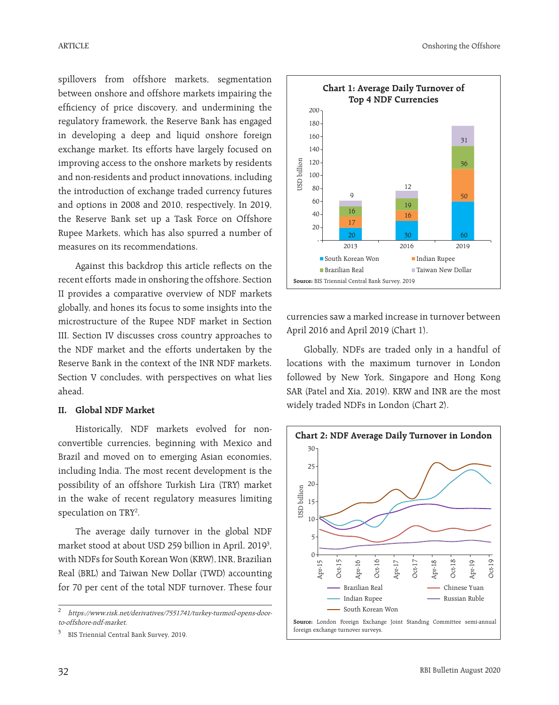spillovers from offshore markets, segmentation between onshore and offshore markets impairing the efficiency of price discovery, and undermining the regulatory framework, the Reserve Bank has engaged in developing a deep and liquid onshore foreign exchange market. Its efforts have largely focused on improving access to the onshore markets by residents and non-residents and product innovations, including the introduction of exchange traded currency futures and options in 2008 and 2010, respectively. In 2019, the Reserve Bank set up a Task Force on Offshore Rupee Markets, which has also spurred a number of measures on its recommendations.

Against this backdrop this article reflects on the recent efforts made in onshoring the offshore. Section II provides a comparative overview of NDF markets globally, and hones its focus to some insights into the microstructure of the Rupee NDF market in Section III. Section IV discusses cross country approaches to the NDF market and the efforts undertaken by the Reserve Bank in the context of the INR NDF markets. Section V concludes, with perspectives on what lies ahead.

## **II. Global NDF Market**

Historically, NDF markets evolved for nonconvertible currencies, beginning with Mexico and Brazil and moved on to emerging Asian economies, including India. The most recent development is the possibility of an offshore Turkish Lira (TRY) market in the wake of recent regulatory measures limiting speculation on TRY<sup>2</sup>.

The average daily turnover in the global NDF market stood at about USD 259 billion in April, 2019<sup>3</sup>, with NDFs for South Korean Won (KRW), INR, Brazilian Real (BRL) and Taiwan New Dollar (TWD) accounting for 70 per cent of the total NDF turnover. These four



currencies saw a marked increase in turnover between April 2016 and April 2019 (Chart 1).

Globally, NDFs are traded only in a handful of locations with the maximum turnover in London followed by New York, Singapore and Hong Kong SAR (Patel and Xia, 2019). KRW and INR are the most widely traded NDFs in London (Chart 2).



<sup>2</sup> https://www.risk.net/derivatives/7551741/turkey-turmoil-opens-doorto-offshore-ndf-market.

BIS Triennial Central Bank Survey, 2019.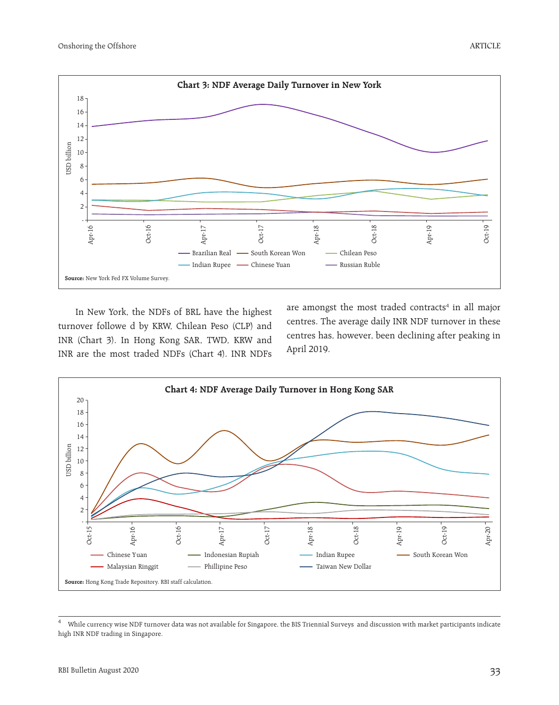

In New York, the NDFs of BRL have the highest turnover followe d by KRW, Chilean Peso (CLP) and INR (Chart 3). In Hong Kong SAR, TWD, KRW and INR are the most traded NDFs (Chart 4). INR NDFs

are amongst the most traded contracts<sup>4</sup> in all major centres. The average daily INR NDF turnover in these centres has, however, been declining after peaking in April 2019.



<sup>4</sup> While currency wise NDF turnover data was not available for Singapore, the BIS Triennial Surveys and discussion with market participants indicate high INR NDF trading in Singapore.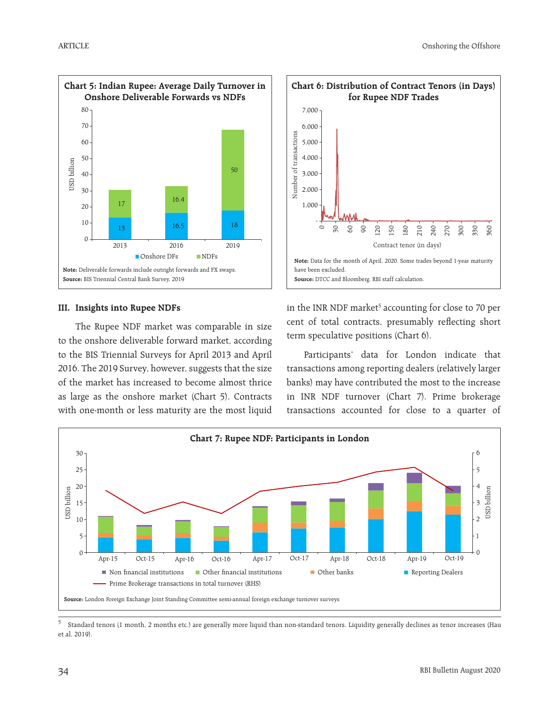

#### **III. Insights into Rupee NDFs**

The Rupee NDF market was comparable in size to the onshore deliverable forward market, according to the BIS Triennial Surveys for April 2013 and April 2016. The 2019 Survey, however, suggests that the size of the market has increased to become almost thrice as large as the onshore market (Chart 5). Contracts with one-month or less maturity are the most liquid



# in the INR NDF market<sup>5</sup> accounting for close to 70 per cent of total contracts, presumably reflecting short term speculative positions (Chart 6).

Participants' data for London indicate that transactions among reporting dealers (relatively larger banks) may have contributed the most to the increase in INR NDF turnover (Chart 7). Prime brokerage transactions accounted for close to a quarter of



<sup>5</sup> Standard tenors (1 month, 2 months etc.) are generally more liquid than non-standard tenors. Liquidity generally declines as tenor increases (Hau et al, 2019).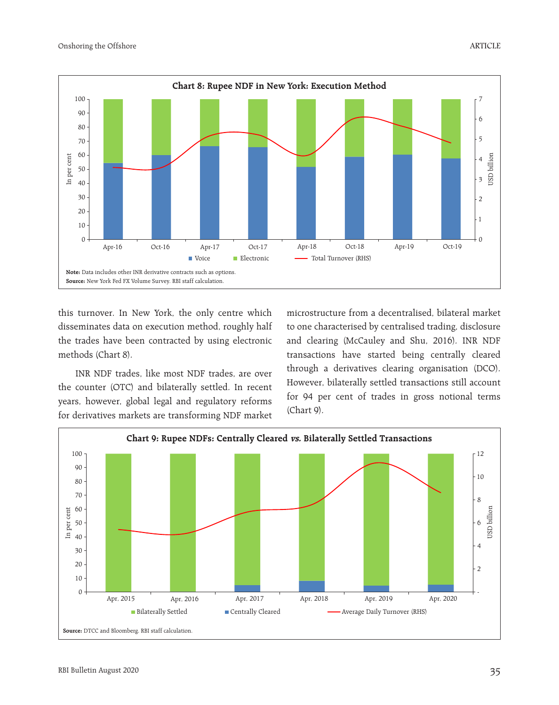

this turnover. In New York, the only centre which disseminates data on execution method, roughly half the trades have been contracted by using electronic methods (Chart 8).

INR NDF trades, like most NDF trades, are over the counter (OTC) and bilaterally settled. In recent years, however, global legal and regulatory reforms for derivatives markets are transforming NDF market

microstructure from a decentralised, bilateral market to one characterised by centralised trading, disclosure and clearing (McCauley and Shu, 2016). INR NDF transactions have started being centrally cleared through a derivatives clearing organisation (DCO). However, bilaterally settled transactions still account for 94 per cent of trades in gross notional terms (Chart 9).

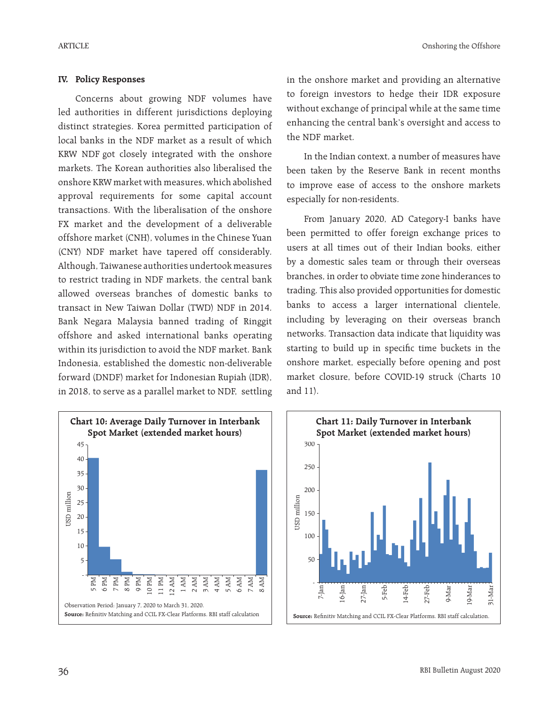### **IV. Policy Responses**

Concerns about growing NDF volumes have led authorities in different jurisdictions deploying distinct strategies. Korea permitted participation of local banks in the NDF market as a result of which KRW NDF got closely integrated with the onshore markets. The Korean authorities also liberalised the onshore KRW market with measures, which abolished approval requirements for some capital account transactions. With the liberalisation of the onshore FX market and the development of a deliverable offshore market (CNH), volumes in the Chinese Yuan (CNY) NDF market have tapered off considerably. Although, Taiwanese authorities undertook measures to restrict trading in NDF markets, the central bank allowed overseas branches of domestic banks to transact in New Taiwan Dollar (TWD) NDF in 2014. Bank Negara Malaysia banned trading of Ringgit offshore and asked international banks operating within its jurisdiction to avoid the NDF market. Bank Indonesia, established the domestic non-deliverable forward (DNDF) market for Indonesian Rupiah (IDR), in 2018, to serve as a parallel market to NDF, settling



in the onshore market and providing an alternative to foreign investors to hedge their IDR exposure without exchange of principal while at the same time enhancing the central bank's oversight and access to the NDF market.

In the Indian context, a number of measures have been taken by the Reserve Bank in recent months to improve ease of access to the onshore markets especially for non-residents.

From January 2020, AD Category-I banks have been permitted to offer foreign exchange prices to users at all times out of their Indian books, either by a domestic sales team or through their overseas branches, in order to obviate time zone hinderances to trading. This also provided opportunities for domestic banks to access a larger international clientele, including by leveraging on their overseas branch networks. Transaction data indicate that liquidity was starting to build up in specific time buckets in the onshore market, especially before opening and post market closure, before COVID-19 struck (Charts 10 and 11).

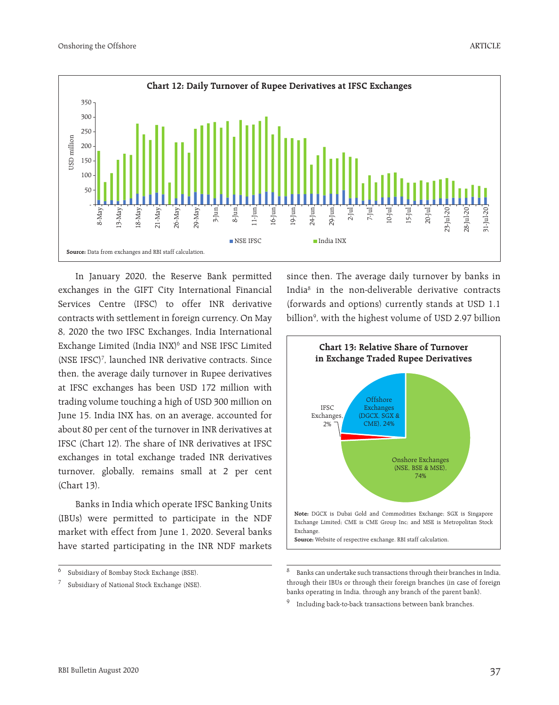

In January 2020, the Reserve Bank permitted exchanges in the GIFT City International Financial Services Centre (IFSC) to offer INR derivative contracts with settlement in foreign currency. On May 8, 2020 the two IFSC Exchanges, India International Exchange Limited (India INX)<sup>6</sup> and NSE IFSC Limited (NSE IFSC)7 , launched INR derivative contracts. Since then, the average daily turnover in Rupee derivatives at IFSC exchanges has been USD 172 million with trading volume touching a high of USD 300 million on June 15. India INX has, on an average, accounted for about 80 per cent of the turnover in INR derivatives at IFSC (Chart 12). The share of INR derivatives at IFSC exchanges in total exchange traded INR derivatives turnover, globally, remains small at 2 per cent (Chart 13).

Banks in India which operate IFSC Banking Units (IBUs) were permitted to participate in the NDF market with effect from June 1, 2020. Several banks have started participating in the INR NDF markets since then. The average daily turnover by banks in India8 in the non-deliverable derivative contracts (forwards and options) currently stands at USD 1.1 billion9 , with the highest volume of USD 2.97 billion



<sup>8</sup> Banks can undertake such transactions through their branches in India, through their IBUs or through their foreign branches (in case of foreign banks operating in India, through any branch of the parent bank).

ARTICLE

<sup>6</sup> Subsidiary of Bombay Stock Exchange (BSE).

Subsidiary of National Stock Exchange (NSE).

<sup>&</sup>lt;sup>9</sup> Including back-to-back transactions between bank branches.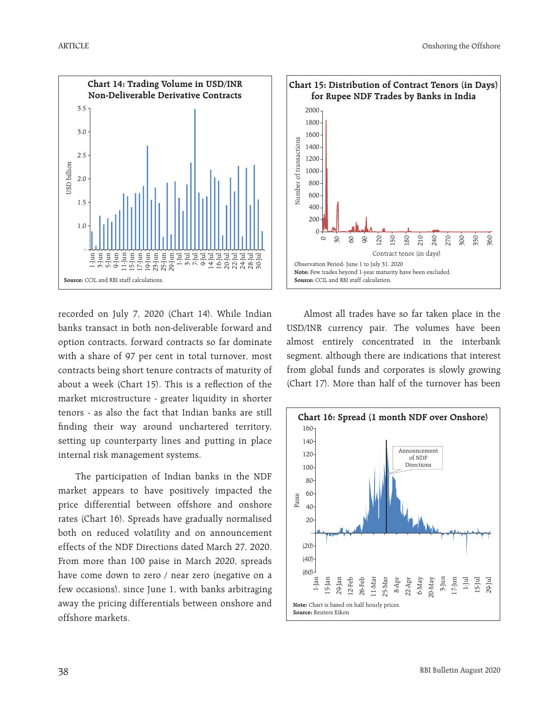

11-Juli 11-Juli 11-Juli 11-Juli 11-Juli 11-Juli 11-Juli 11-Juli 11-Juli 11-Juli 11-Juli 11-Juli 11-Juli 11-Jul<br>11-Juli 12-Juli 12-Juli 12-Juli 12-Juli 12-Juli 12-Juli 12-Juli 12-Juli 12-Juli 12-Juli 12-Juli 12-Juli 12-Ju<br>

recorded on July 7, 2020 (Chart 14). While Indian banks transact in both non-deliverable forward and option contracts, forward contracts so far dominate with a share of 97 per cent in total turnover, most contracts being short tenure contracts of maturity of about a week (Chart 15). This is a reflection of the market microstructure - greater liquidity in shorter tenors - as also the fact that Indian banks are still finding their way around unchartered territory, setting up counterparty lines and putting in place internal risk management systems.

**Source:** CCIL and RBI staff calculations.

1.0

- 1-Jun  $\Xi$ 5-Jun 9-Jun

1.5

2.0

USD billionJSD billion 2.5

3.0

3.5

The participation of Indian banks in the NDF market appears to have positively impacted the price differential between offshore and onshore rates (Chart 16). Spreads have gradually normalised both on reduced volatility and on announcement effects of the NDF Directions dated March 27, 2020. From more than 100 paise in March 2020, spreads have come down to zero / near zero (negative on a few occasions), since June 1, with banks arbitraging away the pricing differentials between onshore and offshore markets.



Almost all trades have so far taken place in the USD/INR currency pair. The volumes have been almost entirely concentrated in the interbank segment, although there are indications that interest from global funds and corporates is slowly growing (Chart 17). More than half of the turnover has been

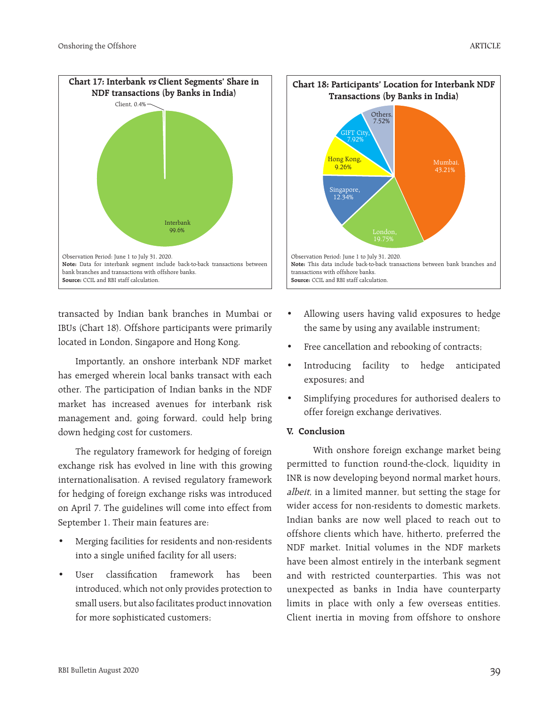

transacted by Indian bank branches in Mumbai or IBUs (Chart 18). Offshore participants were primarily located in London, Singapore and Hong Kong.

Importantly, an onshore interbank NDF market has emerged wherein local banks transact with each other. The participation of Indian banks in the NDF market has increased avenues for interbank risk management and, going forward, could help bring down hedging cost for customers.

The regulatory framework for hedging of foreign exchange risk has evolved in line with this growing internationalisation. A revised regulatory framework for hedging of foreign exchange risks was introduced on April 7. The guidelines will come into effect from September 1. Their main features are:

- Merging facilities for residents and non-residents into a single unified facility for all users;
- User classification framework has been introduced, which not only provides protection to small users, but also facilitates product innovation for more sophisticated customers;



- Allowing users having valid exposures to hedge the same by using any available instrument;
- Free cancellation and rebooking of contracts;
- Introducing facility to hedge anticipated exposures; and
- Simplifying procedures for authorised dealers to offer foreign exchange derivatives.

# **V. Conclusion**

 With onshore foreign exchange market being permitted to function round-the-clock, liquidity in INR is now developing beyond normal market hours, albeit, in a limited manner, but setting the stage for wider access for non-residents to domestic markets. Indian banks are now well placed to reach out to offshore clients which have, hitherto, preferred the NDF market. Initial volumes in the NDF markets have been almost entirely in the interbank segment and with restricted counterparties. This was not unexpected as banks in India have counterparty limits in place with only a few overseas entities. Client inertia in moving from offshore to onshore